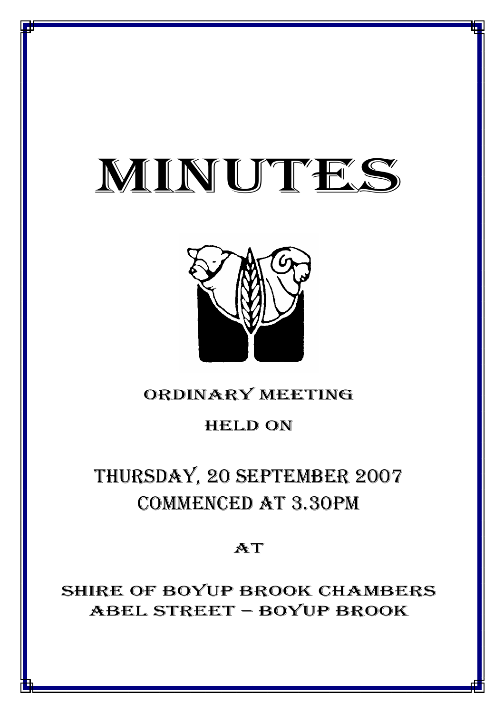# MINUTES

*MINUTES OF THE ORDINARY MEETING OF COUNCIL HELD ON 20 SEPTEMBER 2007*



## ORDINARY MEETING

## HELD ON

# THURSDAY, 20 SEPTEMBER 2007 COMMENCED AT 3.30PM

## AT

SHIRE OF BOYUP BROOK CHAMBERS ABEL STREET – BOYUP BROOK

<u>1941 - Joseph Joseph Amerikaanse koning van die koning van die koning van die koning van die koning van die ko</u>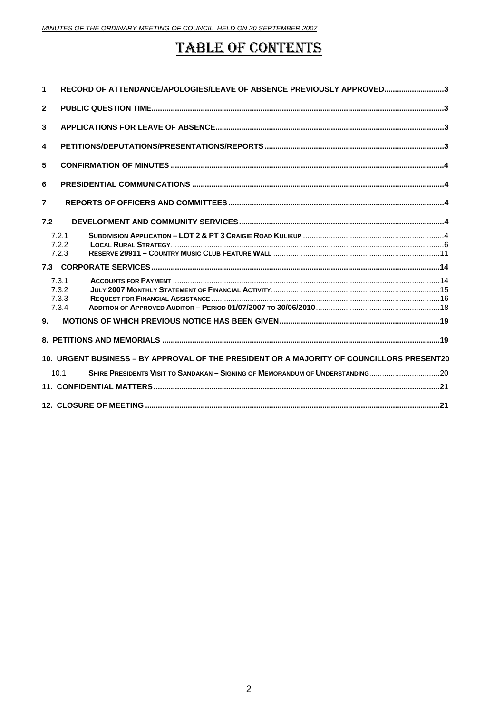## **TABLE OF CONTENTS**

| 1                                                                                         | RECORD OF ATTENDANCE/APOLOGIES/LEAVE OF ABSENCE PREVIOUSLY APPROVED3                  |  |  |  |  |
|-------------------------------------------------------------------------------------------|---------------------------------------------------------------------------------------|--|--|--|--|
| $\mathbf{2}$                                                                              |                                                                                       |  |  |  |  |
| 3                                                                                         |                                                                                       |  |  |  |  |
| 4                                                                                         |                                                                                       |  |  |  |  |
| 5                                                                                         |                                                                                       |  |  |  |  |
| 6                                                                                         |                                                                                       |  |  |  |  |
| $\overline{7}$                                                                            |                                                                                       |  |  |  |  |
| 7.2                                                                                       |                                                                                       |  |  |  |  |
|                                                                                           | 7.2.1<br>7.2.2<br>7.2.3                                                               |  |  |  |  |
| 7.3                                                                                       |                                                                                       |  |  |  |  |
| 9.                                                                                        | 7.3.1<br>7.3.2<br>7.3.3<br>7.3.4                                                      |  |  |  |  |
|                                                                                           |                                                                                       |  |  |  |  |
| 10. URGENT BUSINESS – BY APPROVAL OF THE PRESIDENT OR A MAJORITY OF COUNCILLORS PRESENT20 |                                                                                       |  |  |  |  |
|                                                                                           | SHIRE PRESIDENTS VISIT TO SANDAKAN - SIGNING OF MEMORANDUM OF UNDERSTANDING20<br>10.1 |  |  |  |  |
|                                                                                           |                                                                                       |  |  |  |  |
|                                                                                           |                                                                                       |  |  |  |  |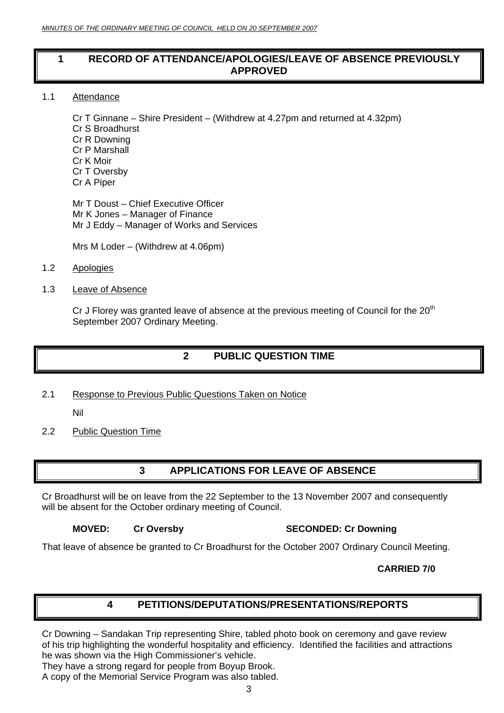#### <span id="page-2-0"></span>**1 RECORD OF ATTENDANCE/APOLOGIES/LEAVE OF ABSENCE PREVIOUSLY APPROVED**

1.1 Attendance

Cr T Ginnane – Shire President – (Withdrew at 4.27pm and returned at 4.32pm) Cr S Broadhurst Cr R Downing Cr P Marshall Cr K Moir Cr T Oversby Cr A Piper

Mr T Doust – Chief Executive Officer Mr K Jones – Manager of Finance Mr J Eddy – Manager of Works and Services

Mrs M Loder – (Withdrew at 4.06pm)

- 1.2 Apologies
- 1.3 Leave of Absence

Cr J Florey was granted leave of absence at the previous meeting of Council for the  $20<sup>th</sup>$ September 2007 Ordinary Meeting.

## **2 PUBLIC QUESTION TIME**

2.1 Response to Previous Public Questions Taken on Notice

Nil

2.2 Public Question Time

## **3 APPLICATIONS FOR LEAVE OF ABSENCE**

Cr Broadhurst will be on leave from the 22 September to the 13 November 2007 and consequently will be absent for the October ordinary meeting of Council.

**MOVED:** Cr Oversby SECONDED: Cr Downing

That leave of absence be granted to Cr Broadhurst for the October 2007 Ordinary Council Meeting.

 **CARRIED 7/0**

#### **4 PETITIONS/DEPUTATIONS/PRESENTATIONS/REPORTS**

Cr Downing – Sandakan Trip representing Shire, tabled photo book on ceremony and gave review of his trip highlighting the wonderful hospitality and efficiency. Identified the facilities and attractions he was shown via the High Commissioner's vehicle.

They have a strong regard for people from Boyup Brook.

A copy of the Memorial Service Program was also tabled.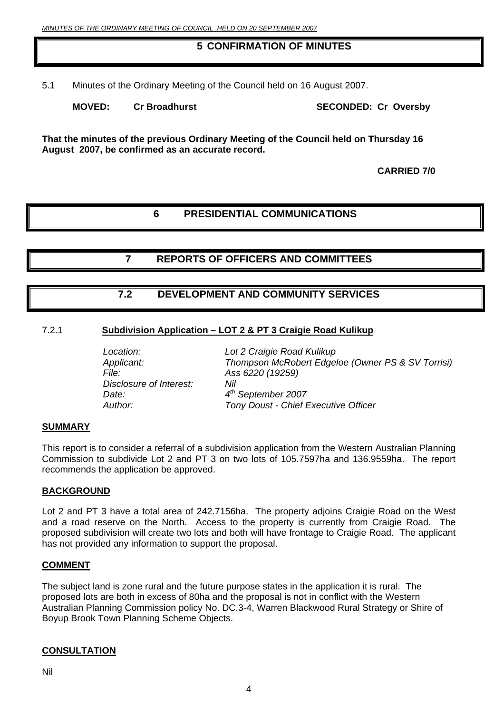#### **5 CONFIRMATION OF MINUTES**

<span id="page-3-0"></span>5.1 Minutes of the Ordinary Meeting of the Council held on 16 August 2007.

**MOVED:** Cr Broadhurst SECONDED: Cr Oversby

**That the minutes of the previous Ordinary Meeting of the Council held on Thursday 16 August 2007, be confirmed as an accurate record.** 

 **CARRIED 7/0**

#### **6 PRESIDENTIAL COMMUNICATIONS**

**7 REPORTS OF OFFICERS AND COMMITTEES** 

#### **7.2 DEVELOPMENT AND COMMUNITY SERVICES**

#### 7.2.1 **Subdivision Application – LOT 2 & PT 3 Craigie Road Kulikup**

*File: Ass 6220 (19259) Disclosure of Interest: Nil Date: 4th September 2007* 

 *Location: Lot 2 Craigie Road Kulikup Applicant: Thompson McRobert Edgeloe (Owner PS & SV Torrisi) Author: Tony Doust - Chief Executive Officer*

#### **SUMMARY**

This report is to consider a referral of a subdivision application from the Western Australian Planning Commission to subdivide Lot 2 and PT 3 on two lots of 105.7597ha and 136.9559ha. The report recommends the application be approved.

#### **BACKGROUND**

Lot 2 and PT 3 have a total area of 242.7156ha. The property adjoins Craigie Road on the West and a road reserve on the North. Access to the property is currently from Craigie Road. The proposed subdivision will create two lots and both will have frontage to Craigie Road. The applicant has not provided any information to support the proposal.

#### **COMMENT**

The subject land is zone rural and the future purpose states in the application it is rural. The proposed lots are both in excess of 80ha and the proposal is not in conflict with the Western Australian Planning Commission policy No. DC.3-4, Warren Blackwood Rural Strategy or Shire of Boyup Brook Town Planning Scheme Objects.

#### **CONSULTATION**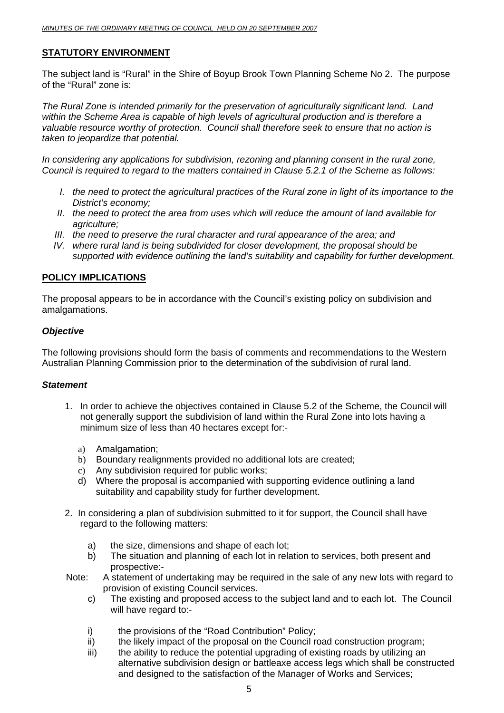#### **STATUTORY ENVIRONMENT**

The subject land is "Rural" in the Shire of Boyup Brook Town Planning Scheme No 2. The purpose of the "Rural" zone is:

*The Rural Zone is intended primarily for the preservation of agriculturally significant land. Land within the Scheme Area is capable of high levels of agricultural production and is therefore a valuable resource worthy of protection. Council shall therefore seek to ensure that no action is taken to jeopardize that potential.* 

*In considering any applications for subdivision, rezoning and planning consent in the rural zone, Council is required to regard to the matters contained in Clause 5.2.1 of the Scheme as follows:* 

- *I. the need to protect the agricultural practices of the Rural zone in light of its importance to the District's economy;*
- *II. the need to protect the area from uses which will reduce the amount of land available for agriculture;*
- *III. the need to preserve the rural character and rural appearance of the area; and*
- *IV. where rural land is being subdivided for closer development, the proposal should be supported with evidence outlining the land's suitability and capability for further development.*

#### **POLICY IMPLICATIONS**

The proposal appears to be in accordance with the Council's existing policy on subdivision and amalgamations.

#### *Objective*

The following provisions should form the basis of comments and recommendations to the Western Australian Planning Commission prior to the determination of the subdivision of rural land.

#### *Statement*

- 1. In order to achieve the objectives contained in Clause 5.2 of the Scheme, the Council will not generally support the subdivision of land within the Rural Zone into lots having a minimum size of less than 40 hectares except for:
	- a) Amalgamation;
	- b) Boundary realignments provided no additional lots are created;
	- c) Any subdivision required for public works;
	- d) Where the proposal is accompanied with supporting evidence outlining a land suitability and capability study for further development.
- 2. In considering a plan of subdivision submitted to it for support, the Council shall have regard to the following matters:
	- a) the size, dimensions and shape of each lot;
	- b) The situation and planning of each lot in relation to services, both present and prospective:-
- Note: A statement of undertaking may be required in the sale of any new lots with regard to provision of existing Council services.
	- c) The existing and proposed access to the subject land and to each lot. The Council will have regard to:-
	- i) the provisions of the "Road Contribution" Policy;
	- ii) the likely impact of the proposal on the Council road construction program;
	- iii) the ability to reduce the potential upgrading of existing roads by utilizing an alternative subdivision design or battleaxe access legs which shall be constructed and designed to the satisfaction of the Manager of Works and Services;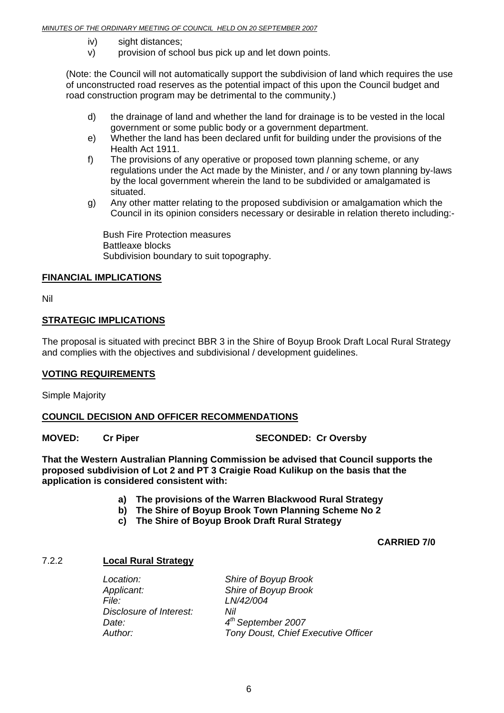- <span id="page-5-0"></span>iv) sight distances;
- v) provision of school bus pick up and let down points.

(Note: the Council will not automatically support the subdivision of land which requires the use of unconstructed road reserves as the potential impact of this upon the Council budget and road construction program may be detrimental to the community.)

- d) the drainage of land and whether the land for drainage is to be vested in the local government or some public body or a government department.
- e) Whether the land has been declared unfit for building under the provisions of the Health Act 1911.
- f) The provisions of any operative or proposed town planning scheme, or any regulations under the Act made by the Minister, and / or any town planning by-laws by the local government wherein the land to be subdivided or amalgamated is situated.
- g) Any other matter relating to the proposed subdivision or amalgamation which the Council in its opinion considers necessary or desirable in relation thereto including:-

 Bush Fire Protection measures Battleaxe blocks Subdivision boundary to suit topography.

#### **FINANCIAL IMPLICATIONS**

Nil

#### **STRATEGIC IMPLICATIONS**

The proposal is situated with precinct BBR 3 in the Shire of Boyup Brook Draft Local Rural Strategy and complies with the objectives and subdivisional / development guidelines.

#### **VOTING REQUIREMENTS**

Simple Majority

#### **COUNCIL DECISION AND OFFICER RECOMMENDATIONS**

**MOVED:** Cr Piper SECONDED: Cr Oversby

**That the Western Australian Planning Commission be advised that Council supports the proposed subdivision of Lot 2 and PT 3 Craigie Road Kulikup on the basis that the application is considered consistent with:** 

- **a) The provisions of the Warren Blackwood Rural Strategy**
- **b) The Shire of Boyup Brook Town Planning Scheme No 2**
- **c) The Shire of Boyup Brook Draft Rural Strategy**

 **CARRIED 7/0** 

#### 7.2.2 **Local Rural Strategy**

*Applicant: Shire of Boyup Brook File: LN/42/004 Disclosure of Interest: Nil Date: 4th September 2007* 

 *Location: Shire of Boyup Brook Author: Tony Doust, Chief Executive Officer*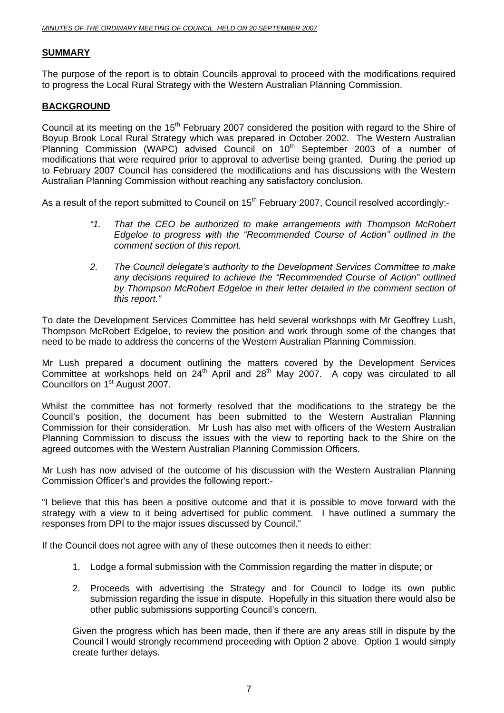#### **SUMMARY**

The purpose of the report is to obtain Councils approval to proceed with the modifications required to progress the Local Rural Strategy with the Western Australian Planning Commission.

#### **BACKGROUND**

Council at its meeting on the 15<sup>th</sup> February 2007 considered the position with regard to the Shire of Boyup Brook Local Rural Strategy which was prepared in October 2002. The Western Australian Planning Commission (WAPC) advised Council on 10<sup>th</sup> September 2003 of a number of modifications that were required prior to approval to advertise being granted. During the period up to February 2007 Council has considered the modifications and has discussions with the Western Australian Planning Commission without reaching any satisfactory conclusion.

As a result of the report submitted to Council on 15<sup>th</sup> February 2007, Council resolved accordingly:-

- *"1. That the CEO be authorized to make arrangements with Thompson McRobert Edgeloe to progress with the "Recommended Course of Action" outlined in the comment section of this report.*
- *2. The Council delegate's authority to the Development Services Committee to make any decisions required to achieve the "Recommended Course of Action" outlined*  by Thompson McRobert Edgeloe in their letter detailed in the comment section of *this report."*

To date the Development Services Committee has held several workshops with Mr Geoffrey Lush, Thompson McRobert Edgeloe, to review the position and work through some of the changes that need to be made to address the concerns of the Western Australian Planning Commission.

Mr Lush prepared a document outlining the matters covered by the Development Services Committee at workshops held on  $24<sup>th</sup>$  April and  $28<sup>th</sup>$  May 2007. A copy was circulated to all Councillors on 1<sup>st</sup> August 2007.

Whilst the committee has not formerly resolved that the modifications to the strategy be the Council's position, the document has been submitted to the Western Australian Planning Commission for their consideration. Mr Lush has also met with officers of the Western Australian Planning Commission to discuss the issues with the view to reporting back to the Shire on the agreed outcomes with the Western Australian Planning Commission Officers.

Mr Lush has now advised of the outcome of his discussion with the Western Australian Planning Commission Officer's and provides the following report:-

"I believe that this has been a positive outcome and that it is possible to move forward with the strategy with a view to it being advertised for public comment. I have outlined a summary the responses from DPI to the major issues discussed by Council."

If the Council does not agree with any of these outcomes then it needs to either:

- 1. Lodge a formal submission with the Commission regarding the matter in dispute; or
- 2. Proceeds with advertising the Strategy and for Council to lodge its own public submission regarding the issue in dispute. Hopefully in this situation there would also be other public submissions supporting Council's concern.

Given the progress which has been made, then if there are any areas still in dispute by the Council I would strongly recommend proceeding with Option 2 above. Option 1 would simply create further delays.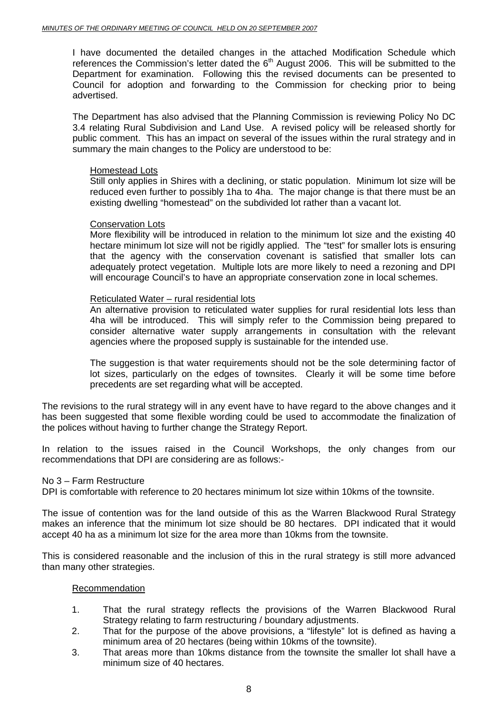I have documented the detailed changes in the attached Modification Schedule which references the Commission's letter dated the  $6<sup>th</sup>$  August 2006. This will be submitted to the Department for examination. Following this the revised documents can be presented to Council for adoption and forwarding to the Commission for checking prior to being advertised.

The Department has also advised that the Planning Commission is reviewing Policy No DC 3.4 relating Rural Subdivision and Land Use. A revised policy will be released shortly for public comment. This has an impact on several of the issues within the rural strategy and in summary the main changes to the Policy are understood to be:

#### Homestead Lots

Still only applies in Shires with a declining, or static population. Minimum lot size will be reduced even further to possibly 1ha to 4ha. The major change is that there must be an existing dwelling "homestead" on the subdivided lot rather than a vacant lot.

#### Conservation Lots

More flexibility will be introduced in relation to the minimum lot size and the existing 40 hectare minimum lot size will not be rigidly applied. The "test" for smaller lots is ensuring that the agency with the conservation covenant is satisfied that smaller lots can adequately protect vegetation. Multiple lots are more likely to need a rezoning and DPI will encourage Council's to have an appropriate conservation zone in local schemes.

#### Reticulated Water – rural residential lots

An alternative provision to reticulated water supplies for rural residential lots less than 4ha will be introduced. This will simply refer to the Commission being prepared to consider alternative water supply arrangements in consultation with the relevant agencies where the proposed supply is sustainable for the intended use.

The suggestion is that water requirements should not be the sole determining factor of lot sizes, particularly on the edges of townsites. Clearly it will be some time before precedents are set regarding what will be accepted.

The revisions to the rural strategy will in any event have to have regard to the above changes and it has been suggested that some flexible wording could be used to accommodate the finalization of the polices without having to further change the Strategy Report.

In relation to the issues raised in the Council Workshops, the only changes from our recommendations that DPI are considering are as follows:-

#### No 3 – Farm Restructure

DPI is comfortable with reference to 20 hectares minimum lot size within 10kms of the townsite.

The issue of contention was for the land outside of this as the Warren Blackwood Rural Strategy makes an inference that the minimum lot size should be 80 hectares. DPI indicated that it would accept 40 ha as a minimum lot size for the area more than 10kms from the townsite.

This is considered reasonable and the inclusion of this in the rural strategy is still more advanced than many other strategies.

#### Recommendation

- 1. That the rural strategy reflects the provisions of the Warren Blackwood Rural Strategy relating to farm restructuring / boundary adjustments.
- 2. That for the purpose of the above provisions, a "lifestyle" lot is defined as having a minimum area of 20 hectares (being within 10kms of the townsite).
- 3. That areas more than 10kms distance from the townsite the smaller lot shall have a minimum size of 40 hectares.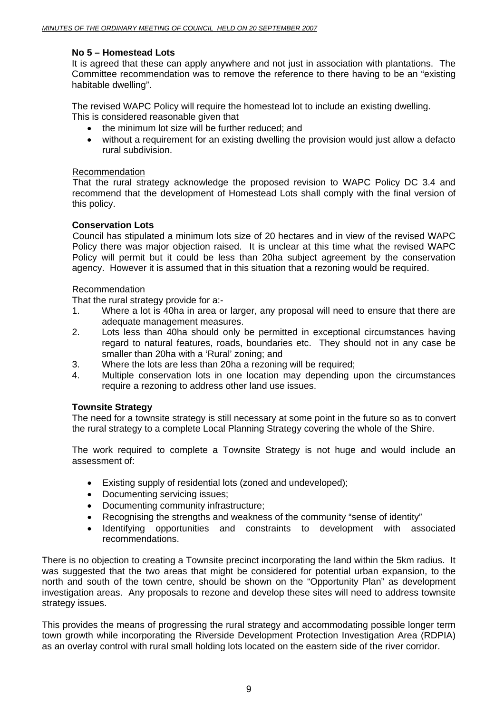#### **No 5 – Homestead Lots**

It is agreed that these can apply anywhere and not just in association with plantations. The Committee recommendation was to remove the reference to there having to be an "existing habitable dwelling".

The revised WAPC Policy will require the homestead lot to include an existing dwelling. This is considered reasonable given that

- the minimum lot size will be further reduced; and
- without a requirement for an existing dwelling the provision would just allow a defacto rural subdivision.

#### Recommendation

 That the rural strategy acknowledge the proposed revision to WAPC Policy DC 3.4 and recommend that the development of Homestead Lots shall comply with the final version of this policy.

#### **Conservation Lots**

 Council has stipulated a minimum lots size of 20 hectares and in view of the revised WAPC Policy there was major objection raised. It is unclear at this time what the revised WAPC Policy will permit but it could be less than 20ha subject agreement by the conservation agency. However it is assumed that in this situation that a rezoning would be required.

#### Recommendation

That the rural strategy provide for a:-

- 1. Where a lot is 40ha in area or larger, any proposal will need to ensure that there are adequate management measures.
- 2. Lots less than 40ha should only be permitted in exceptional circumstances having regard to natural features, roads, boundaries etc. They should not in any case be smaller than 20ha with a 'Rural' zoning; and
- 3. Where the lots are less than 20ha a rezoning will be required;
- 4. Multiple conservation lots in one location may depending upon the circumstances require a rezoning to address other land use issues.

#### **Townsite Strategy**

The need for a townsite strategy is still necessary at some point in the future so as to convert the rural strategy to a complete Local Planning Strategy covering the whole of the Shire.

The work required to complete a Townsite Strategy is not huge and would include an assessment of:

- Existing supply of residential lots (zoned and undeveloped);
- Documenting servicing issues;
- Documenting community infrastructure;
- Recognising the strengths and weakness of the community "sense of identity"
- Identifying opportunities and constraints to development with associated recommendations.

There is no objection to creating a Townsite precinct incorporating the land within the 5km radius. It was suggested that the two areas that might be considered for potential urban expansion, to the north and south of the town centre, should be shown on the "Opportunity Plan" as development investigation areas. Any proposals to rezone and develop these sites will need to address townsite strategy issues.

This provides the means of progressing the rural strategy and accommodating possible longer term town growth while incorporating the Riverside Development Protection Investigation Area (RDPIA) as an overlay control with rural small holding lots located on the eastern side of the river corridor.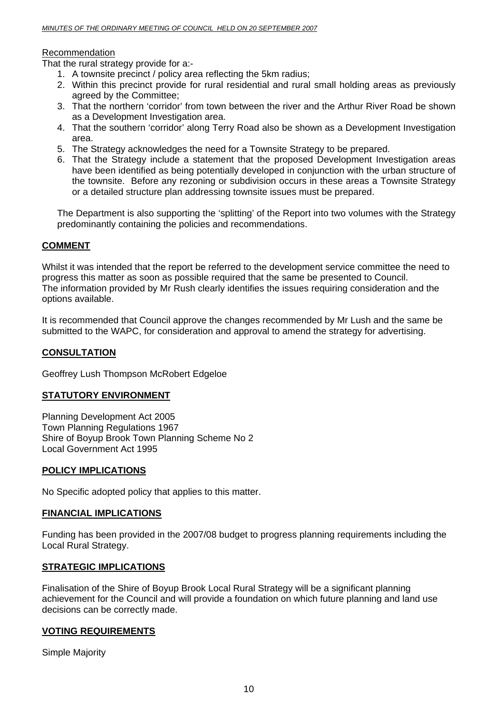#### Recommendation

That the rural strategy provide for a:-

- 1. A townsite precinct / policy area reflecting the 5km radius;
- 2. Within this precinct provide for rural residential and rural small holding areas as previously agreed by the Committee;
- 3. That the northern 'corridor' from town between the river and the Arthur River Road be shown as a Development Investigation area.
- 4. That the southern 'corridor' along Terry Road also be shown as a Development Investigation area.
- 5. The Strategy acknowledges the need for a Townsite Strategy to be prepared.
- 6. That the Strategy include a statement that the proposed Development Investigation areas have been identified as being potentially developed in conjunction with the urban structure of the townsite. Before any rezoning or subdivision occurs in these areas a Townsite Strategy or a detailed structure plan addressing townsite issues must be prepared.

The Department is also supporting the 'splitting' of the Report into two volumes with the Strategy predominantly containing the policies and recommendations.

#### **COMMENT**

Whilst it was intended that the report be referred to the development service committee the need to progress this matter as soon as possible required that the same be presented to Council. The information provided by Mr Rush clearly identifies the issues requiring consideration and the options available.

It is recommended that Council approve the changes recommended by Mr Lush and the same be submitted to the WAPC, for consideration and approval to amend the strategy for advertising.

#### **CONSULTATION**

Geoffrey Lush Thompson McRobert Edgeloe

#### **STATUTORY ENVIRONMENT**

Planning Development Act 2005 Town Planning Regulations 1967 Shire of Boyup Brook Town Planning Scheme No 2 Local Government Act 1995

#### **POLICY IMPLICATIONS**

No Specific adopted policy that applies to this matter.

#### **FINANCIAL IMPLICATIONS**

Funding has been provided in the 2007/08 budget to progress planning requirements including the Local Rural Strategy.

#### **STRATEGIC IMPLICATIONS**

Finalisation of the Shire of Boyup Brook Local Rural Strategy will be a significant planning achievement for the Council and will provide a foundation on which future planning and land use decisions can be correctly made.

#### **VOTING REQUIREMENTS**

Simple Majority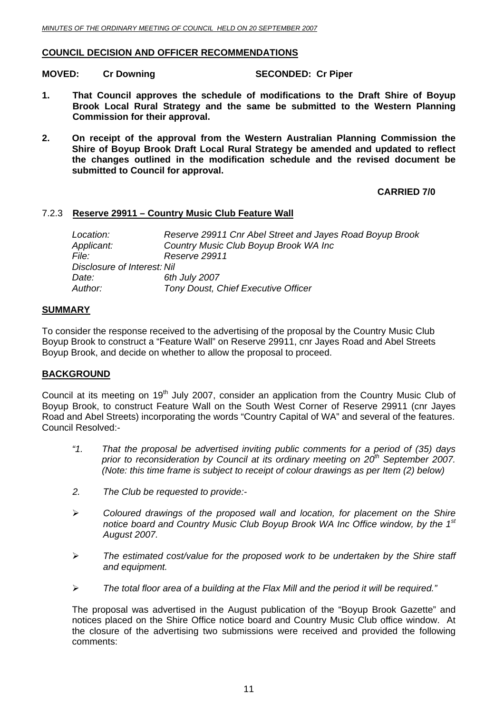#### <span id="page-10-0"></span>**COUNCIL DECISION AND OFFICER RECOMMENDATIONS**

**MOVED:** Cr Downing **SECONDED:** Cr Piper

- **1. That Council approves the schedule of modifications to the Draft Shire of Boyup Brook Local Rural Strategy and the same be submitted to the Western Planning Commission for their approval.**
- **2. On receipt of the approval from the Western Australian Planning Commission the Shire of Boyup Brook Draft Local Rural Strategy be amended and updated to reflect the changes outlined in the modification schedule and the revised document be submitted to Council for approval.**

#### **CARRIED 7/0**

#### 7.2.3 **Reserve 29911 – Country Music Club Feature Wall**

| Reserve 29911 Cnr Abel Street and Jayes Road Boyup Brook |
|----------------------------------------------------------|
| Country Music Club Boyup Brook WA Inc                    |
| Reserve 29911                                            |
| Disclosure of Interest: Nil                              |
| 6th July 2007                                            |
| <b>Tony Doust, Chief Executive Officer</b>               |
|                                                          |

#### **SUMMARY**

To consider the response received to the advertising of the proposal by the Country Music Club Boyup Brook to construct a "Feature Wall" on Reserve 29911, cnr Jayes Road and Abel Streets Boyup Brook, and decide on whether to allow the proposal to proceed.

#### **BACKGROUND**

Council at its meeting on 19<sup>th</sup> July 2007, consider an application from the Country Music Club of Boyup Brook, to construct Feature Wall on the South West Corner of Reserve 29911 (cnr Jayes Road and Abel Streets) incorporating the words "Country Capital of WA" and several of the features. Council Resolved:-

- *"1. That the proposal be advertised inviting public comments for a period of (35) days*  prior to reconsideration by Council at its ordinary meeting on 20<sup>th</sup> September 2007. *(Note: this time frame is subject to receipt of colour drawings as per Item (2) below)*
- *2. The Club be requested to provide:-*
- ¾ *Coloured drawings of the proposed wall and location, for placement on the Shire notice board and Country Music Club Boyup Brook WA Inc Office window, by the 1st August 2007.*
- ¾ *The estimated cost/value for the proposed work to be undertaken by the Shire staff and equipment.*
- ¾ *The total floor area of a building at the Flax Mill and the period it will be required."*

The proposal was advertised in the August publication of the "Boyup Brook Gazette" and notices placed on the Shire Office notice board and Country Music Club office window. At the closure of the advertising two submissions were received and provided the following comments: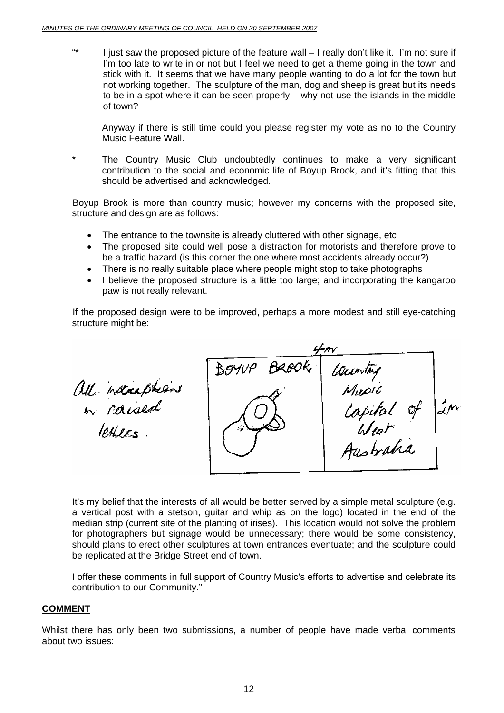"\* I just saw the proposed picture of the feature wall – I really don't like it. I'm not sure if I'm too late to write in or not but I feel we need to get a theme going in the town and stick with it. It seems that we have many people wanting to do a lot for the town but not working together. The sculpture of the man, dog and sheep is great but its needs to be in a spot where it can be seen properly – why not use the islands in the middle of town?

Anyway if there is still time could you please register my vote as no to the Country Music Feature Wall.

\* The Country Music Club undoubtedly continues to make a very significant contribution to the social and economic life of Boyup Brook, and it's fitting that this should be advertised and acknowledged.

Boyup Brook is more than country music; however my concerns with the proposed site, structure and design are as follows:

- The entrance to the townsite is already cluttered with other signage, etc
- The proposed site could well pose a distraction for motorists and therefore prove to be a traffic hazard (is this corner the one where most accidents already occur?)
- There is no really suitable place where people might stop to take photographs
- I believe the proposed structure is a little too large; and incorporating the kangaroo paw is not really relevant.

If the proposed design were to be improved, perhaps a more modest and still eye-catching structure might be:

 $\begin{array}{|c|c|c|}\n\hline\n30100 & Ba00k & \text{Caewity} \\
\hline\n\text{Muoli} & \text{Muoli} & \text{Jw} \\
\hline\n\text{Muoli} & \text{Muoli} & \text{Jw} \\
\hline\n\text{Muolvi} & \text{Muoli} & \text{Jw} \\
\hline\n\text{Muolvi} & \text{Muolvi} & \text{Jw} \\
\hline\n\end{array}$ all nacaptions

It's my belief that the interests of all would be better served by a simple metal sculpture (e.g. a vertical post with a stetson, guitar and whip as on the logo) located in the end of the median strip (current site of the planting of irises). This location would not solve the problem for photographers but signage would be unnecessary; there would be some consistency, should plans to erect other sculptures at town entrances eventuate; and the sculpture could be replicated at the Bridge Street end of town.

I offer these comments in full support of Country Music's efforts to advertise and celebrate its contribution to our Community."

#### **COMMENT**

Whilst there has only been two submissions, a number of people have made verbal comments about two issues: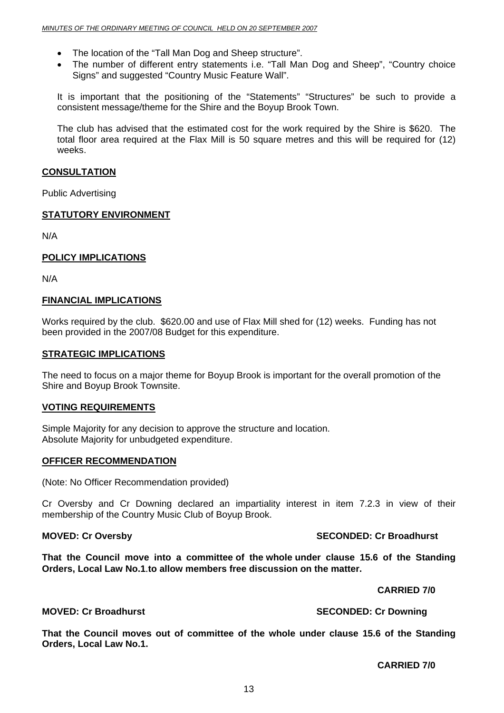- The location of the "Tall Man Dog and Sheep structure".
- The number of different entry statements i.e. "Tall Man Dog and Sheep", "Country choice Signs" and suggested "Country Music Feature Wall".

It is important that the positioning of the "Statements" "Structures" be such to provide a consistent message/theme for the Shire and the Boyup Brook Town.

The club has advised that the estimated cost for the work required by the Shire is \$620. The total floor area required at the Flax Mill is 50 square metres and this will be required for (12) weeks.

#### **CONSULTATION**

Public Advertising

#### **STATUTORY ENVIRONMENT**

N/A

#### **POLICY IMPLICATIONS**

N/A

#### **FINANCIAL IMPLICATIONS**

Works required by the club. \$620.00 and use of Flax Mill shed for (12) weeks. Funding has not been provided in the 2007/08 Budget for this expenditure.

#### **STRATEGIC IMPLICATIONS**

The need to focus on a major theme for Boyup Brook is important for the overall promotion of the Shire and Boyup Brook Townsite.

#### **VOTING REQUIREMENTS**

Simple Majority for any decision to approve the structure and location. Absolute Majority for unbudgeted expenditure.

#### **OFFICER RECOMMENDATION**

(Note: No Officer Recommendation provided)

Cr Oversby and Cr Downing declared an impartiality interest in item 7.2.3 in view of their membership of the Country Music Club of Boyup Brook.

#### **MOVED: Cr Oversby SECONDED: Cr Broadhurst**

**That the Council move into a committee of the whole under clause 15.6 of the Standing Orders, Local Law No.1**.**to allow members free discussion on the matter.** 

 **CARRIED 7/0** 

**MOVED: Cr Broadhurst SECONDED: Cr Downing COVED: Cr Downing 3.5 SECONDED: Cr Downing 3.5 SECONDED: Cr Downing 3.5 SECONDED: Cr Downing 3.5 SECONDED: Cr Downing 3.5 SECONDED: Cr Downing 3.5 SECONDED: Cr Downing 3.5 SECONDE** 

**That the Council moves out of committee of the whole under clause 15.6 of the Standing Orders, Local Law No.1.** 

**CARRIED 7/0**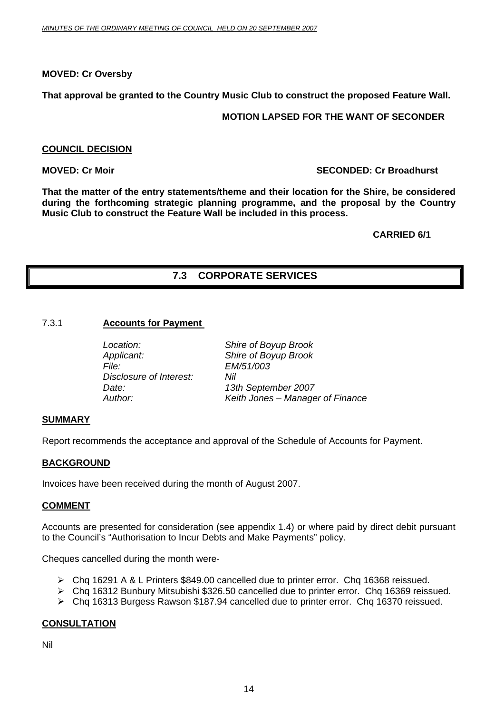#### <span id="page-13-0"></span>**MOVED: Cr Oversby**

**That approval be granted to the Country Music Club to construct the proposed Feature Wall.** 

#### **MOTION LAPSED FOR THE WANT OF SECONDER**

#### **COUNCIL DECISION**

#### **MOVED: Cr Moir** SECONDED: Cr Broadhurst **SECONDED: Cr Broadhurst**

**That the matter of the entry statements/theme and their location for the Shire, be considered during the forthcoming strategic planning programme, and the proposal by the Country Music Club to construct the Feature Wall be included in this process.** 

#### **CARRIED 6/1**

#### **7.3 CORPORATE SERVICES**

#### 7.3.1 **Accounts for Payment**

*Location: Shire of Boyup Brook Applicant: Shire of Boyup Brook File: EM/51/003 Disclosure of Interest: Nil* 

*Date: 13th September 2007 Author: Keith Jones – Manager of Finance* 

#### **SUMMARY**

Report recommends the acceptance and approval of the Schedule of Accounts for Payment.

#### **BACKGROUND**

Invoices have been received during the month of August 2007.

#### **COMMENT**

Accounts are presented for consideration (see appendix 1.4) or where paid by direct debit pursuant to the Council's "Authorisation to Incur Debts and Make Payments" policy.

Cheques cancelled during the month were-

- ¾ Chq 16291 A & L Printers \$849.00 cancelled due to printer error. Chq 16368 reissued.
- ¾ Chq 16312 Bunbury Mitsubishi \$326.50 cancelled due to printer error. Chq 16369 reissued.
- ¾ Chq 16313 Burgess Rawson \$187.94 cancelled due to printer error. Chq 16370 reissued.

#### **CONSULTATION**

Nil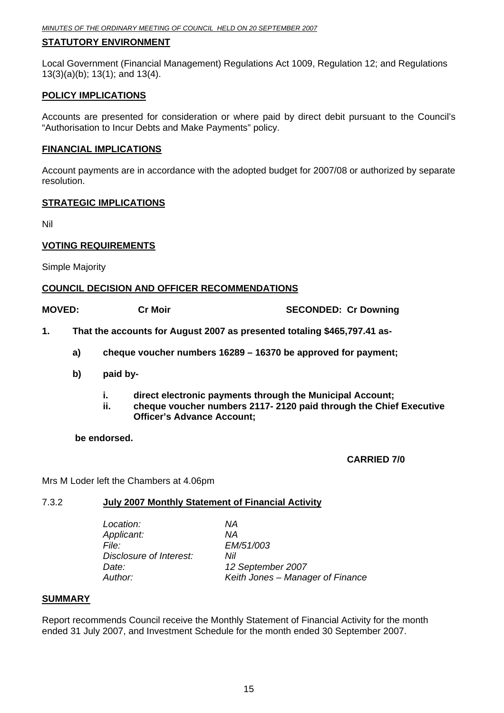#### <span id="page-14-0"></span>**STATUTORY ENVIRONMENT**

Local Government (Financial Management) Regulations Act 1009, Regulation 12; and Regulations 13(3)(a)(b); 13(1); and 13(4).

#### **POLICY IMPLICATIONS**

Accounts are presented for consideration or where paid by direct debit pursuant to the Council's "Authorisation to Incur Debts and Make Payments" policy.

#### **FINANCIAL IMPLICATIONS**

Account payments are in accordance with the adopted budget for 2007/08 or authorized by separate resolution.

#### **STRATEGIC IMPLICATIONS**

Nil

#### **VOTING REQUIREMENTS**

Simple Majority

#### **COUNCIL DECISION AND OFFICER RECOMMENDATIONS**

**MOVED:** Cr Moir **Cr Moir** SECONDED: Cr Downing

- **1. That the accounts for August 2007 as presented totaling \$465,797.41 as**
	- **a) cheque voucher numbers 16289 16370 be approved for payment;**
	- **b) paid by** 
		- **i. direct electronic payments through the Municipal Account;**
		- **ii. cheque voucher numbers 2117- 2120 paid through the Chief Executive Officer's Advance Account;**

 **be endorsed.** 

 **CARRIED 7/0** 

Mrs M Loder left the Chambers at 4.06pm

#### 7.3.2 **July 2007 Monthly Statement of Financial Activity**

| Location:               | ΝA                               |
|-------------------------|----------------------------------|
| Applicant:              | ΝA                               |
| File:                   | EM/51/003                        |
| Disclosure of Interest: | Nil                              |
| Date:                   | 12 September 2007                |
| Author:                 | Keith Jones – Manager of Finance |
|                         |                                  |

#### **SUMMARY**

Report recommends Council receive the Monthly Statement of Financial Activity for the month ended 31 July 2007, and Investment Schedule for the month ended 30 September 2007.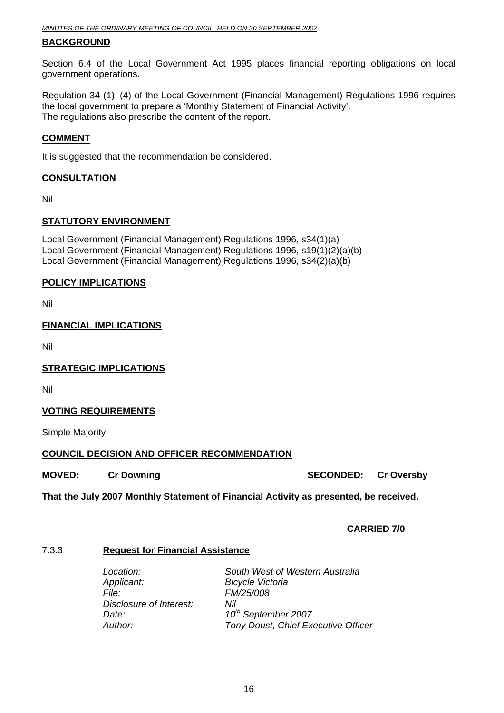#### <span id="page-15-0"></span>**BACKGROUND**

Section 6.4 of the Local Government Act 1995 places financial reporting obligations on local government operations.

Regulation 34 (1)–(4) of the Local Government (Financial Management) Regulations 1996 requires the local government to prepare a 'Monthly Statement of Financial Activity'. The regulations also prescribe the content of the report.

#### **COMMENT**

It is suggested that the recommendation be considered.

#### **CONSULTATION**

Nil

#### **STATUTORY ENVIRONMENT**

Local Government (Financial Management) Regulations 1996, s34(1)(a) Local Government (Financial Management) Regulations 1996, s19(1)(2)(a)(b) Local Government (Financial Management) Regulations 1996, s34(2)(a)(b)

#### **POLICY IMPLICATIONS**

Nil

#### **FINANCIAL IMPLICATIONS**

Nil

**STRATEGIC IMPLICATIONS**

Nil

#### **VOTING REQUIREMENTS**

Simple Majority

#### **COUNCIL DECISION AND OFFICER RECOMMENDATION**

**MOVED: Cr Downing Case Conduct Act Act SECONDED: Cr Oversby** 

**That the July 2007 Monthly Statement of Financial Activity as presented, be received.** 

#### **CARRIED 7/0**

#### 7.3.3 **Request for Financial Assistance**

| Location:               | South West of Western Australia     |
|-------------------------|-------------------------------------|
| Applicant:              | <b>Bicycle Victoria</b>             |
| <i>File:</i>            | FM/25/008                           |
| Disclosure of Interest: | Nil                                 |
| Date:                   | 10 <sup>th</sup> September 2007     |
| Author:                 | Tony Doust, Chief Executive Officer |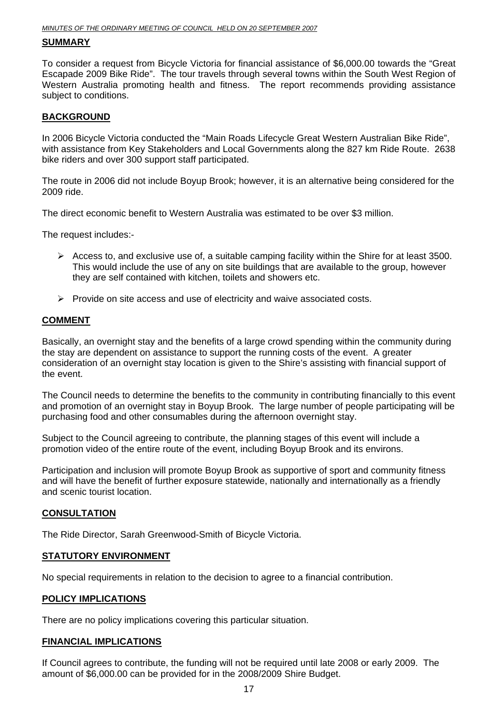#### **SUMMARY**

To consider a request from Bicycle Victoria for financial assistance of \$6,000.00 towards the "Great Escapade 2009 Bike Ride". The tour travels through several towns within the South West Region of Western Australia promoting health and fitness. The report recommends providing assistance subject to conditions.

#### **BACKGROUND**

In 2006 Bicycle Victoria conducted the "Main Roads Lifecycle Great Western Australian Bike Ride", with assistance from Key Stakeholders and Local Governments along the 827 km Ride Route. 2638 bike riders and over 300 support staff participated.

The route in 2006 did not include Boyup Brook; however, it is an alternative being considered for the 2009 ride.

The direct economic benefit to Western Australia was estimated to be over \$3 million.

The request includes:-

- $\triangleright$  Access to, and exclusive use of, a suitable camping facility within the Shire for at least 3500. This would include the use of any on site buildings that are available to the group, however they are self contained with kitchen, toilets and showers etc.
- $\triangleright$  Provide on site access and use of electricity and waive associated costs.

#### **COMMENT**

Basically, an overnight stay and the benefits of a large crowd spending within the community during the stay are dependent on assistance to support the running costs of the event. A greater consideration of an overnight stay location is given to the Shire's assisting with financial support of the event.

The Council needs to determine the benefits to the community in contributing financially to this event and promotion of an overnight stay in Boyup Brook. The large number of people participating will be purchasing food and other consumables during the afternoon overnight stay.

Subject to the Council agreeing to contribute, the planning stages of this event will include a promotion video of the entire route of the event, including Boyup Brook and its environs.

Participation and inclusion will promote Boyup Brook as supportive of sport and community fitness and will have the benefit of further exposure statewide, nationally and internationally as a friendly and scenic tourist location.

#### **CONSULTATION**

The Ride Director, Sarah Greenwood-Smith of Bicycle Victoria.

#### **STATUTORY ENVIRONMENT**

No special requirements in relation to the decision to agree to a financial contribution.

#### **POLICY IMPLICATIONS**

There are no policy implications covering this particular situation.

#### **FINANCIAL IMPLICATIONS**

If Council agrees to contribute, the funding will not be required until late 2008 or early 2009. The amount of \$6,000.00 can be provided for in the 2008/2009 Shire Budget.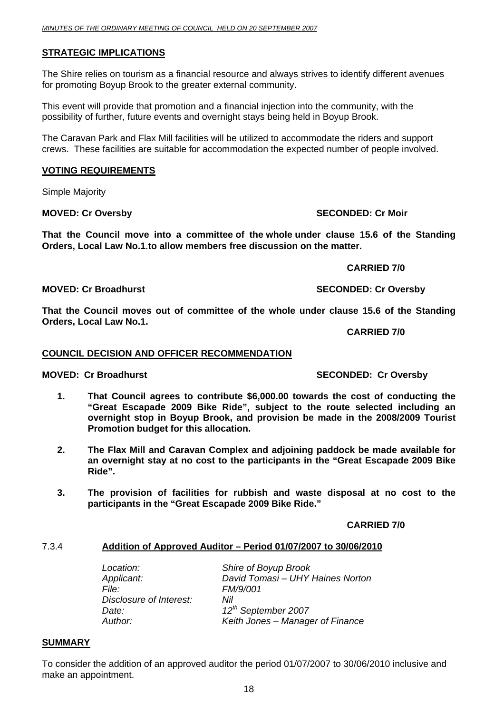#### <span id="page-17-0"></span>**STRATEGIC IMPLICATIONS**

The Shire relies on tourism as a financial resource and always strives to identify different avenues for promoting Boyup Brook to the greater external community.

This event will provide that promotion and a financial injection into the community, with the possibility of further, future events and overnight stays being held in Boyup Brook.

The Caravan Park and Flax Mill facilities will be utilized to accommodate the riders and support crews. These facilities are suitable for accommodation the expected number of people involved.

#### **VOTING REQUIREMENTS**

Simple Majority

#### **MOVED: Cr Oversby SECONDED: Cr Moir**

**That the Council move into a committee of the whole under clause 15.6 of the Standing Orders, Local Law No.1**.**to allow members free discussion on the matter.** 

 **CARRIED 7/0** 

**MOVED: Cr Broadhurst SECONDED: Cr Oversby** 

**That the Council moves out of committee of the whole under clause 15.6 of the Standing Orders, Local Law No.1.** 

**CARRIED 7/0** 

#### **COUNCIL DECISION AND OFFICER RECOMMENDATION**

#### **MOVED: Cr Broadhurst SECONDED: Cr Oversby**

- **1. That Council agrees to contribute \$6,000.00 towards the cost of conducting the "Great Escapade 2009 Bike Ride", subject to the route selected including an overnight stop in Boyup Brook, and provision be made in the 2008/2009 Tourist Promotion budget for this allocation.**
- **2. The Flax Mill and Caravan Complex and adjoining paddock be made available for an overnight stay at no cost to the participants in the "Great Escapade 2009 Bike Ride".**
- **3. The provision of facilities for rubbish and waste disposal at no cost to the participants in the "Great Escapade 2009 Bike Ride."**

#### **CARRIED 7/0**

#### 7.3.4 **Addition of Approved Auditor – Period 01/07/2007 to 30/06/2010**

| Location:               | Shire of Boyup Brook             |
|-------------------------|----------------------------------|
| Applicant:              | David Tomasi - UHY Haines Norton |
| File:                   | FM/9/001                         |
| Disclosure of Interest: | Nil                              |
| Date:                   | 12 <sup>th</sup> September 2007  |
| Author:                 | Keith Jones - Manager of Finance |

#### **SUMMARY**

To consider the addition of an approved auditor the period 01/07/2007 to 30/06/2010 inclusive and make an appointment.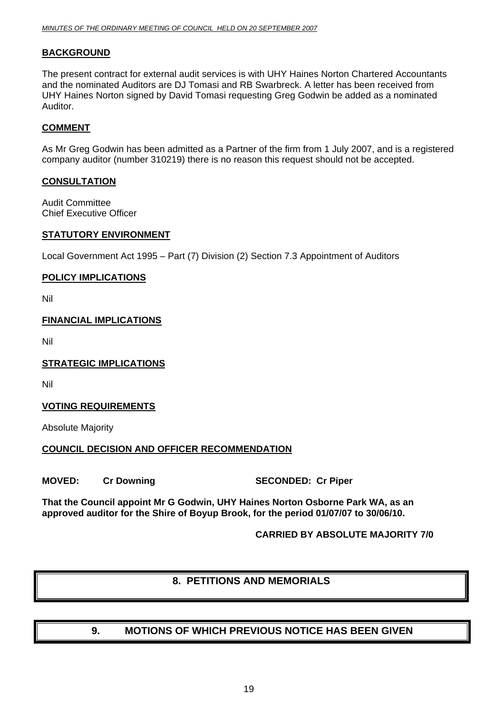#### <span id="page-18-0"></span>**BACKGROUND**

The present contract for external audit services is with UHY Haines Norton Chartered Accountants and the nominated Auditors are DJ Tomasi and RB Swarbreck. A letter has been received from UHY Haines Norton signed by David Tomasi requesting Greg Godwin be added as a nominated Auditor.

#### **COMMENT**

As Mr Greg Godwin has been admitted as a Partner of the firm from 1 July 2007, and is a registered company auditor (number 310219) there is no reason this request should not be accepted.

#### **CONSULTATION**

Audit Committee Chief Executive Officer

#### **STATUTORY ENVIRONMENT**

Local Government Act 1995 – Part (7) Division (2) Section 7.3 Appointment of Auditors

#### **POLICY IMPLICATIONS**

Nil

#### **FINANCIAL IMPLICATIONS**

Nil

#### **STRATEGIC IMPLICATIONS**

Nil

#### **VOTING REQUIREMENTS**

Absolute Majority

#### **COUNCIL DECISION AND OFFICER RECOMMENDATION**

**MOVED:** Cr Downing SECONDED: Cr Piper

**That the Council appoint Mr G Godwin, UHY Haines Norton Osborne Park WA, as an approved auditor for the Shire of Boyup Brook, for the period 01/07/07 to 30/06/10.** 

 **CARRIED BY ABSOLUTE MAJORITY 7/0** 

#### **8. PETITIONS AND MEMORIALS**

- 
- **9. MOTIONS OF WHICH PREVIOUS NOTICE HAS BEEN GIVEN**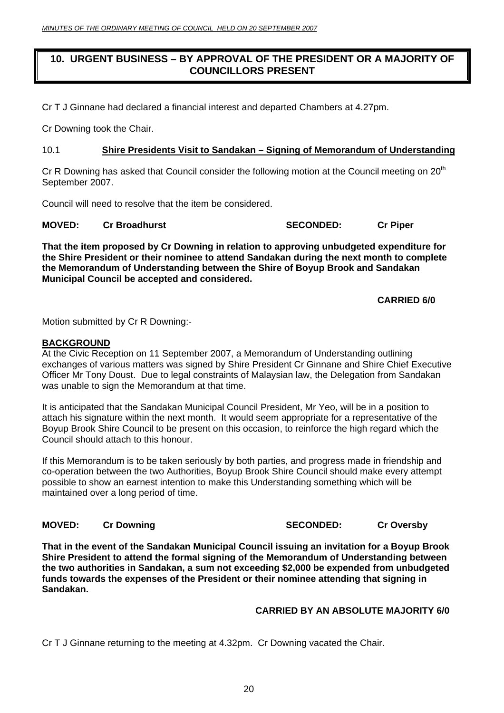#### <span id="page-19-0"></span>**10. URGENT BUSINESS – BY APPROVAL OF THE PRESIDENT OR A MAJORITY OF COUNCILLORS PRESENT**

Cr T J Ginnane had declared a financial interest and departed Chambers at 4.27pm.

Cr Downing took the Chair.

#### 10.1 **Shire Presidents Visit to Sandakan – Signing of Memorandum of Understanding**

Cr R Downing has asked that Council consider the following motion at the Council meeting on  $20<sup>th</sup>$ September 2007.

Council will need to resolve that the item be considered.

**MOVED:** Cr Broadhurst **SECONDED:** Cr Piper

**That the item proposed by Cr Downing in relation to approving unbudgeted expenditure for the Shire President or their nominee to attend Sandakan during the next month to complete the Memorandum of Understanding between the Shire of Boyup Brook and Sandakan Municipal Council be accepted and considered.** 

#### **CARRIED 6/0**

Motion submitted by Cr R Downing:-

#### **BACKGROUND**

At the Civic Reception on 11 September 2007, a Memorandum of Understanding outlining exchanges of various matters was signed by Shire President Cr Ginnane and Shire Chief Executive Officer Mr Tony Doust. Due to legal constraints of Malaysian law, the Delegation from Sandakan was unable to sign the Memorandum at that time.

It is anticipated that the Sandakan Municipal Council President, Mr Yeo, will be in a position to attach his signature within the next month. It would seem appropriate for a representative of the Boyup Brook Shire Council to be present on this occasion, to reinforce the high regard which the Council should attach to this honour.

If this Memorandum is to be taken seriously by both parties, and progress made in friendship and co-operation between the two Authorities, Boyup Brook Shire Council should make every attempt possible to show an earnest intention to make this Understanding something which will be maintained over a long period of time.

**MOVED:** Cr Downing Creating Creating Cr Oversby

**That in the event of the Sandakan Municipal Council issuing an invitation for a Boyup Brook Shire President to attend the formal signing of the Memorandum of Understanding between the two authorities in Sandakan, a sum not exceeding \$2,000 be expended from unbudgeted funds towards the expenses of the President or their nominee attending that signing in Sandakan.** 

#### **CARRIED BY AN ABSOLUTE MAJORITY 6/0**

Cr T J Ginnane returning to the meeting at 4.32pm. Cr Downing vacated the Chair.